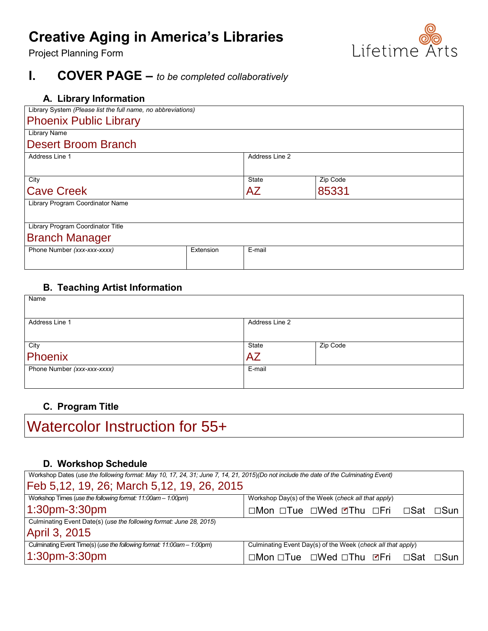# **Creative Aging in America's Libraries**

Project Planning Form

# **I. COVER PAGE –** *to be completed collaboratively*

| Library System (Please list the full name, no abbreviations) |        |          |                |
|--------------------------------------------------------------|--------|----------|----------------|
|                                                              |        |          |                |
|                                                              |        |          |                |
|                                                              |        |          |                |
|                                                              |        |          |                |
|                                                              |        |          |                |
|                                                              | State  | Zip Code |                |
|                                                              | AZ     | 85331    |                |
|                                                              |        |          |                |
|                                                              |        |          |                |
|                                                              |        |          |                |
|                                                              |        |          |                |
| Extension                                                    | E-mail |          |                |
|                                                              |        |          |                |
|                                                              |        |          | Address Line 2 |

## **B. Teaching Artist Information**

| Name                        |                |          |
|-----------------------------|----------------|----------|
| Address Line 1              | Address Line 2 |          |
|                             |                |          |
|                             | State          | Zip Code |
| <sub>City</sub><br>Phoenix  | AZ             |          |
| Phone Number (xxx-xxx-xxxx) | E-mail         |          |
|                             |                |          |

# **C. Program Title**

Watercolor Instruction for 55+

## **D. Workshop Schedule**

| Workshop Dates (use the following format: May 10, 17, 24, 31; June 7, 14, 21, 2015)(Do not include the date of the Culminating Event) |                                                             |  |  |  |  |
|---------------------------------------------------------------------------------------------------------------------------------------|-------------------------------------------------------------|--|--|--|--|
| Feb 5,12, 19, 26; March 5,12, 19, 26, 2015                                                                                            |                                                             |  |  |  |  |
| Workshop Times (use the following format: 11:00am - 1:00pm)                                                                           | Workshop Day(s) of the Week (check all that apply)          |  |  |  |  |
| 1:30pm-3:30pm                                                                                                                         | □Mon □Tue □Wed ØThu □Fri □Sat □Sun                          |  |  |  |  |
| Culminating Event Date(s) (use the following format: June 28, 2015)                                                                   |                                                             |  |  |  |  |
| April 3, 2015                                                                                                                         |                                                             |  |  |  |  |
| Culminating Event Time(s) (use the following format: 11:00am - 1:00pm)                                                                | Culminating Event Day(s) of the Week (check all that apply) |  |  |  |  |
| $1:30$ pm-3:30pm                                                                                                                      | □Mon □Tue □Wed □Thu ☑Fri □Sat<br>$\Box$ Sun                 |  |  |  |  |

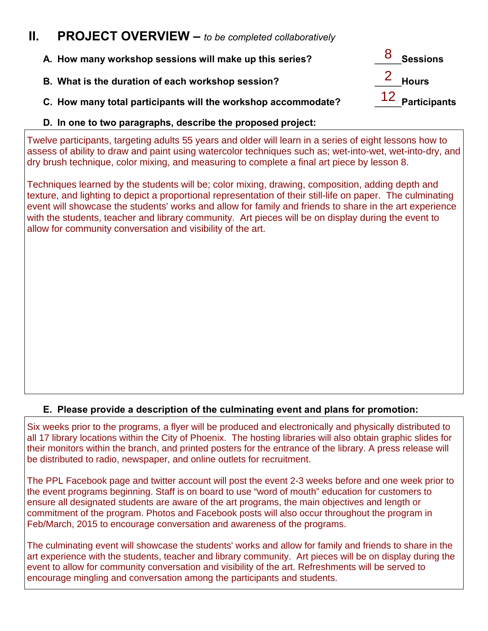# **II. PROJECT OVERVIEW –** *to be completed collaboratively*

| A. How many workshop sessions will make up this series?       | 8 Sessions        |
|---------------------------------------------------------------|-------------------|
| B. What is the duration of each workshop session?             | 2 Hours           |
| C. How many total participants will the workshop accommodate? | $12$ Participants |
|                                                               |                   |

#### **D. In one to two paragraphs, describe the proposed project:**

Twelve participants, targeting adults 55 years and older will learn in a series of eight lessons how to assess of ability to draw and paint using watercolor techniques such as; wet-into-wet, wet-into-dry, and dry brush technique, color mixing, and measuring to complete a final art piece by lesson 8.

Techniques learned by the students will be; color mixing, drawing, composition, adding depth and texture, and lighting to depict a proportional representation of their still-life on paper. The culminating event will showcase the students' works and allow for family and friends to share in the art experience with the students, teacher and library community. Art pieces will be on display during the event to allow for community conversation and visibility of the art.

### **E. Please provide a description of the culminating event and plans for promotion:**

Six weeks prior to the programs, a flyer will be produced and electronically and physically distributed to all 17 library locations within the City of Phoenix. The hosting libraries will also obtain graphic slides for their monitors within the branch, and printed posters for the entrance of the library. A press release will be distributed to radio, newspaper, and online outlets for recruitment.

The PPL Facebook page and twitter account will post the event 2-3 weeks before and one week prior to the event programs beginning. Staff is on board to use "word of mouth" education for customers to ensure all designated students are aware of the art programs, the main objectives and length or commitment of the program. Photos and Facebook posts will also occur throughout the program in Feb/March, 2015 to encourage conversation and awareness of the programs.

The culminating event will showcase the students' works and allow for family and friends to share in the art experience with the students, teacher and library community. Art pieces will be on display during the event to allow for community conversation and visibility of the art. Refreshments will be served to encourage mingling and conversation among the participants and students.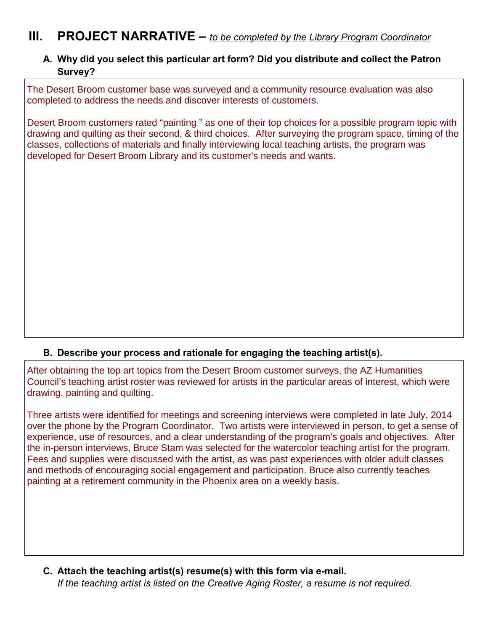# **III. PROJECT NARRATIVE –** *to be completed by the Library Program Coordinator*

## **A. Why did you select this particular art form? Did you distribute and collect the Patron Survey?**

The Desert Broom customer base was surveyed and a community resource evaluation was also completed to address the needs and discover interests of customers.

Desert Broom customers rated "painting " as one of their top choices for a possible program topic with drawing and quilting as their second, & third choices. After surveying the program space, timing of the classes, collections of materials and finally interviewing local teaching artists, the program was

### **B. Describe your process and rationale for engaging the teaching artist(s).**

developed for Desert Broom Library and its customer's needs and wants.<br><br>B. Describe your process and rationale for engaging the teaching artist(s).<br>After obtaining the top art topics from the Desert Broom customer surveys, Council's teaching artist roster was reviewed for artists in the particular areas of interest, which were drawing, painting and quilting.

Three artists were identified for meetings and screening interviews were completed in late July, 2014 over the phone by the Program Coordinator. Two artists were interviewed in person, to get a sense of experience, use of resources, and a clear understanding of the program's goals and objectives. After the in-person interviews, Bruce Stam was selected for the watercolor teaching artist for the program. Fees and supplies were discussed with the artist, as was past experiences with older adult classes and methods of encouraging social engagement and participation. Bruce also currently teaches painting at a retirement community in the Phoenix area on a weekly basis.

**C. Attach the teaching artist(s) resume(s) with this form via e-mail.** *If the teaching artist is listed on the Creative Aging Roster, a resume is not required.*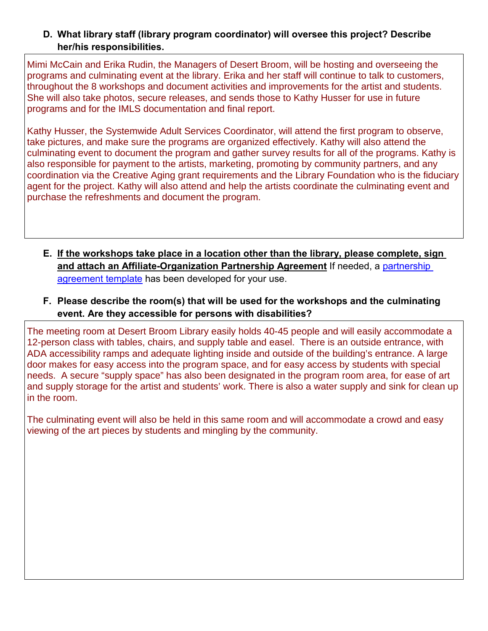## **D. What library staff (library program coordinator) will oversee this project? Describe her/his responsibilities.**

Mimi McCain and Erika Rudin, the Managers of Desert Broom, will be hosting and overseeing the programs and culminating event at the library. Erika and her staff will continue to talk to customers, throughout the 8 workshops and document activities and improvements for the artist and students. She will also take photos, secure releases, and sends those to Kathy Husser for use in future programs and for the IMLS documentation and final report.

Kathy Husser, the Systemwide Adult Services Coordinator, will attend the first program to observe, take pictures, and make sure the programs are organized effectively. Kathy will also attend the culminating event to document the program and gather survey results for all of the programs. Kathy is also responsible for payment to the artists, marketing, promoting by community partners, and any coordination via the Creative Aging grant requirements and the Library Foundation who is the fiduciary agent for the project. Kathy will also attend and help the artists coordinate the culminating event and purchase the refreshments and document the program.

- **E. If the workshops take place in a location other than the library, please complete, sign and attach an Affiliate-Organization Partnership Agreement** If needed, a [partnership](http://affiliates.lifetimearts.org/Tools+%26+Templates)  [agreement](http://affiliates.lifetimearts.org/Tools+%26+Templates) template has been developed for your use.
- **F. Please describe the room(s) that will be used for the workshops and the culminating event. Are they accessible for persons with disabilities?**

The meeting room at Desert Broom Library easily holds 40-45 people and will easily accommodate a 12-person class with tables, chairs, and supply table and easel. There is an outside entrance, with ADA accessibility ramps and adequate lighting inside and outside of the building's entrance. A large door makes for easy access into the program space, and for easy access by students with special needs. A secure "supply space" has also been designated in the program room area, for ease of art and supply storage for the artist and students' work. There is also a water supply and sink for clean up in the room.

The culminating event will also be held in this same room and will accommodate a crowd and easy viewing of the art pieces by students and mingling by the community.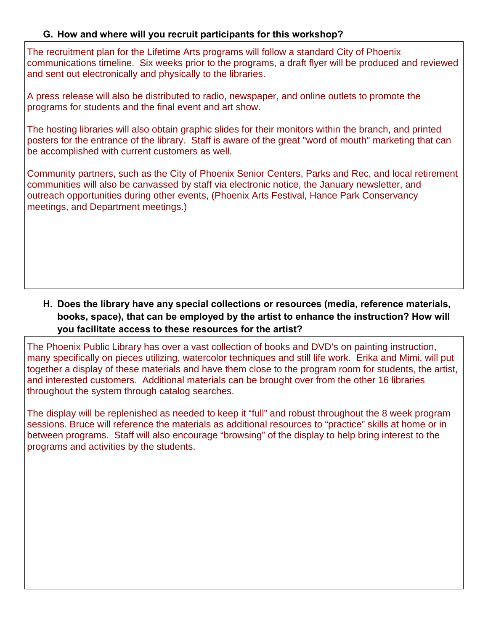## **G. How and where will you recruit participants for this workshop?**

The recruitment plan for the Lifetime Arts programs will follow a standard City of Phoenix communications timeline. Six weeks prior to the programs, a draft flyer will be produced and reviewed and sent out electronically and physically to the libraries.

A press release will also be distributed to radio, newspaper, and online outlets to promote the programs for students and the final event and art show.

The hosting libraries will also obtain graphic slides for their monitors within the branch, and printed posters for the entrance of the library. Staff is aware of the great "word of mouth" marketing that can be accomplished with current customers as well.

Community partners, such as the City of Phoenix Senior Centers, Parks and Rec, and local retirement communities will also be canvassed by staff via electronic notice, the January newsletter, and outreach opportunities during other events, (Phoenix Arts Festival, Hance Park Conservancy meetings, and Department meetings.)

# **H. Does the library have any special collections or resources (media, reference materials, books, space), that can be employed by the artist to enhance the instruction? How will you facilitate access to these resources for the artist?**

The Phoenix Public Library has over a vast collection of books and DVD's on painting instruction, many specifically on pieces utilizing, watercolor techniques and still life work. Erika and Mimi, will put together a display of these materials and have them close to the program room for students, the artist, and interested customers. Additional materials can be brought over from the other 16 libraries throughout the system through catalog searches.

The display will be replenished as needed to keep it "full" and robust throughout the 8 week program sessions. Bruce will reference the materials as additional resources to "practice" skills at home or in between programs. Staff will also encourage "browsing" of the display to help bring interest to the programs and activities by the students.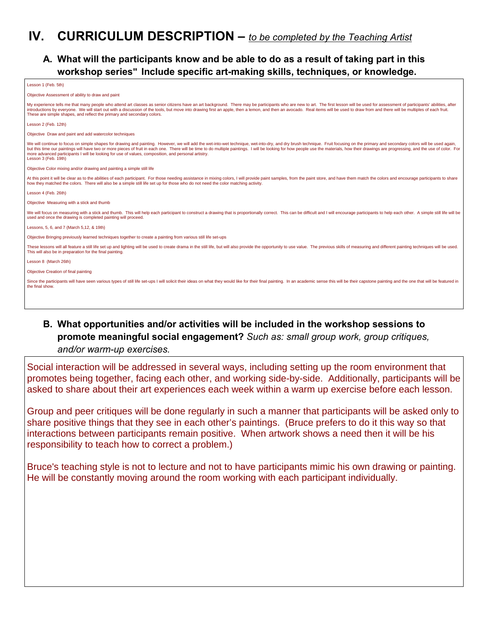# **IV. CURRICULUM DESCRIPTION –** *to be completed by the Teaching Artist*

## **A. What will the participants know and be able to do as a result of taking part in this workshop series" Include specific art-making skills, techniques, or knowledge.**

| Lesson 1 (Feb. 5th)                                                                                                                                                                                                                                                                                                                                                                                                                                                                                                                                                                             |
|-------------------------------------------------------------------------------------------------------------------------------------------------------------------------------------------------------------------------------------------------------------------------------------------------------------------------------------------------------------------------------------------------------------------------------------------------------------------------------------------------------------------------------------------------------------------------------------------------|
| Objective Assessment of ability to draw and paint                                                                                                                                                                                                                                                                                                                                                                                                                                                                                                                                               |
| My experience tells me that many people who attend art classes as senior citizens have an art background. There may be participants who are new to art. The first lesson will be used for assessment of participants' abilitie<br>introductions by everyone. We will start out with a discussion of the tools, but move into drawing first an apple, then a lemon, and then an avocado. Real items will be used to draw from and there will be multiples of each<br>These are simple shapes, and reflect the primary and secondary colors.                                                      |
| Lesson 2 (Feb. 12th)                                                                                                                                                                                                                                                                                                                                                                                                                                                                                                                                                                            |
| Objective Draw and paint and add watercolor techniques                                                                                                                                                                                                                                                                                                                                                                                                                                                                                                                                          |
| We will continue to focus on simple shapes for drawing and painting. However, we will add the wet-into-wet technique, wet-into-dry, and dry brush technique. Fruit focusing on the primary and secondary colors will be used a<br>but this time our paintings will have two or more pieces of fruit in each one. There will be time to do multiple paintings. I will be looking for how people use the materials, how their drawings are progressing, and the us<br>more advanced participants I will be looking for use of values, composition, and personal artistry.<br>Lesson 3 (Feb. 19th) |
| Objective Color mixing and/or drawing and painting a simple still life                                                                                                                                                                                                                                                                                                                                                                                                                                                                                                                          |
| At this point it will be clear as to the abilities of each participant. For those needing assistance in mixing colors, I will provide paint samples, from the paint store, and have them match the colors and encourage partic<br>how they matched the colors. There will also be a simple still life set up for those who do not need the color matching activity.                                                                                                                                                                                                                             |
| Lesson 4 (Feb. 26th)                                                                                                                                                                                                                                                                                                                                                                                                                                                                                                                                                                            |
| Objective Measuring with a stick and thumb                                                                                                                                                                                                                                                                                                                                                                                                                                                                                                                                                      |
| We will focus on measuring with a stick and thumb. This will help each participant to construct a drawing that is proportionally correct. This can be difficult and I will encourage participants to help each other. A simple<br>used and once the drawing is completed painting will proceed.                                                                                                                                                                                                                                                                                                 |
| Lessons, 5, 6, and 7 (March 5, 12, & 19th)                                                                                                                                                                                                                                                                                                                                                                                                                                                                                                                                                      |
| Objective Bringing previously learned techniques together to create a painting from various still life set-ups                                                                                                                                                                                                                                                                                                                                                                                                                                                                                  |
| These lessons will all feature a still life set up and lighting will be used to create drama in the still life, but will also provide the opportunity to use value. The previous skills of measuring and different painting te<br>This will also be in preparation for the final painting.                                                                                                                                                                                                                                                                                                      |
| Lesson 8 (March 26th)                                                                                                                                                                                                                                                                                                                                                                                                                                                                                                                                                                           |
| Objective Creation of final painting                                                                                                                                                                                                                                                                                                                                                                                                                                                                                                                                                            |
| Since the participants will have seen various types of still life set-ups I will solicit their ideas on what they would like for their final painting. In an academic sense this will be their capstone painting and the one t<br>the final show.                                                                                                                                                                                                                                                                                                                                               |
|                                                                                                                                                                                                                                                                                                                                                                                                                                                                                                                                                                                                 |
|                                                                                                                                                                                                                                                                                                                                                                                                                                                                                                                                                                                                 |

## **B. What opportunities and/or activities will be included in the workshop sessions to promote meaningful social engagement?** *Such as: small group work, group critiques, and/or warm-up exercises.*

Social interaction will be addressed in several ways, including setting up the room environment that promotes being together, facing each other, and working side-by-side. Additionally, participants will be asked to share about their art experiences each week within a warm up exercise before each lesson.

Group and peer critiques will be done regularly in such a manner that participants will be asked only to share positive things that they see in each other's paintings. (Bruce prefers to do it this way so that interactions between participants remain positive. When artwork shows a need then it will be his responsibility to teach how to correct a problem.)

Bruce's teaching style is not to lecture and not to have participants mimic his own drawing or painting. He will be constantly moving around the room working with each participant individually.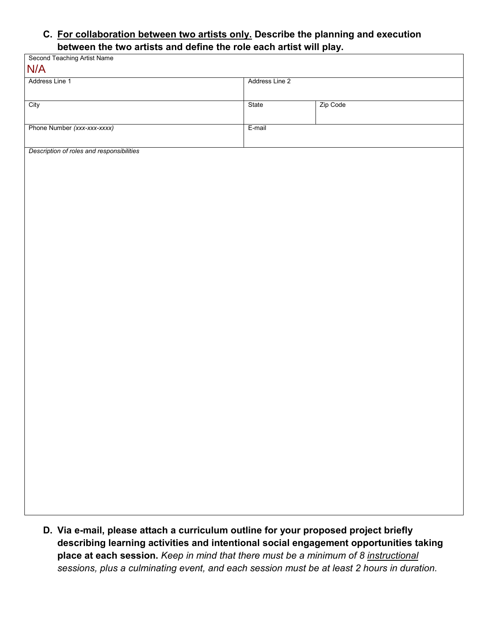#### **C. For collaboration between two artists only. Describe the planning and execution between the two artists and define the role each artist will play.**

| <b>Second Teaching Artist Name</b><br>N/A |        | r - 2          |  |  |
|-------------------------------------------|--------|----------------|--|--|
| Address Line 1                            |        | Address Line 2 |  |  |
| City                                      | State  | Zip Code       |  |  |
| Phone Number (xxx-xxx-xxxx)               | E-mail |                |  |  |
| Description of roles and responsibilities |        |                |  |  |
|                                           |        |                |  |  |
|                                           |        |                |  |  |
|                                           |        |                |  |  |
|                                           |        |                |  |  |
|                                           |        |                |  |  |
|                                           |        |                |  |  |
|                                           |        |                |  |  |
|                                           |        |                |  |  |
|                                           |        |                |  |  |
|                                           |        |                |  |  |
|                                           |        |                |  |  |
|                                           |        |                |  |  |
|                                           |        |                |  |  |
|                                           |        |                |  |  |
|                                           |        |                |  |  |
|                                           |        |                |  |  |
|                                           |        |                |  |  |

**D. Via e-mail, please attach a curriculum outline for your proposed project briefly describing learning activities and intentional social engagement opportunities taking place at each session.** *Keep in mind that there must be a minimum of 8 instructional sessions, plus a culminating event, and each session must be at least 2 hours in duration.*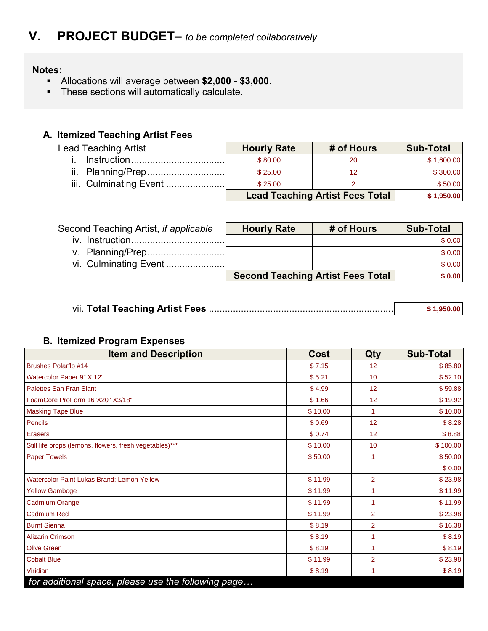#### **Notes:**

- Allocations will average between **\$2,000 \$3,000**.
- **These sections will automatically calculate.**

# **A. Itemized Teaching Artist Fees**

| Lead Teaching Artist   | <b>Hourly Rate</b> | # of Hours                             | <b>Sub-Total</b> |
|------------------------|--------------------|----------------------------------------|------------------|
|                        | \$80.00            | 20                                     | \$1,600.00       |
|                        | \$25.00            | 12                                     | \$300.00         |
| iii. Culminating Event | \$25.00            |                                        | \$50.00          |
|                        |                    | <b>Lead Teaching Artist Fees Total</b> | \$1,950.00       |

| Second Teaching Artist, if applicable | <b>Hourly Rate</b> | # of Hours                               | <b>Sub-Total</b> |
|---------------------------------------|--------------------|------------------------------------------|------------------|
|                                       |                    |                                          | \$0.00           |
|                                       |                    |                                          | \$0.00           |
|                                       |                    |                                          | \$0.00           |
|                                       |                    | <b>Second Teaching Artist Fees Total</b> | \$0.00           |

|  | \$1.950.00 |
|--|------------|
|--|------------|

#### **B. Itemized Program Expenses**

| <b>Item and Description</b>                             | Cost    | Qty            | <b>Sub-Total</b> |
|---------------------------------------------------------|---------|----------------|------------------|
| <b>Brushes Polarflo #14</b>                             | \$7.15  | 12             | \$85.80          |
| Watercolor Paper 9" X 12"                               | \$5.21  | 10             | \$52.10          |
| <b>Palettes San Fran Slant</b>                          | \$4.99  | 12             | \$59.88          |
| FoamCore ProForm 16"X20" X3/18"                         | \$1.66  | 12             | \$19.92          |
| <b>Masking Tape Blue</b>                                | \$10.00 | 1              | \$10.00          |
| Pencils                                                 | \$0.69  | 12             | \$8.28           |
| <b>Erasers</b>                                          | \$0.74  | 12             | \$8.88           |
| Still life props (lemons, flowers, fresh vegetables)*** | \$10.00 | 10             | \$100.00         |
| <b>Paper Towels</b>                                     | \$50.00 |                | \$50.00          |
|                                                         |         |                | \$0.00           |
| <b>Watercolor Paint Lukas Brand: Lemon Yellow</b>       | \$11.99 | $\overline{2}$ | \$23.98          |
| <b>Yellow Gamboge</b>                                   | \$11.99 |                | \$11.99          |
| Cadmium Orange                                          | \$11.99 | 1              | \$11.99          |
| <b>Cadmium Red</b>                                      | \$11.99 | $\overline{2}$ | \$23.98          |
| <b>Burnt Sienna</b>                                     | \$8.19  | $\overline{2}$ | \$16.38          |
| <b>Alizarin Crimson</b>                                 | \$8.19  | 1              | \$8.19           |
| <b>Olive Green</b>                                      | \$8.19  | 1              | \$8.19           |
| <b>Cobalt Blue</b>                                      | \$11.99 | $\overline{2}$ | \$23.98          |
| Viridian                                                | \$8.19  | 1              | \$8.19           |
| for additional space, please use the following page     |         |                |                  |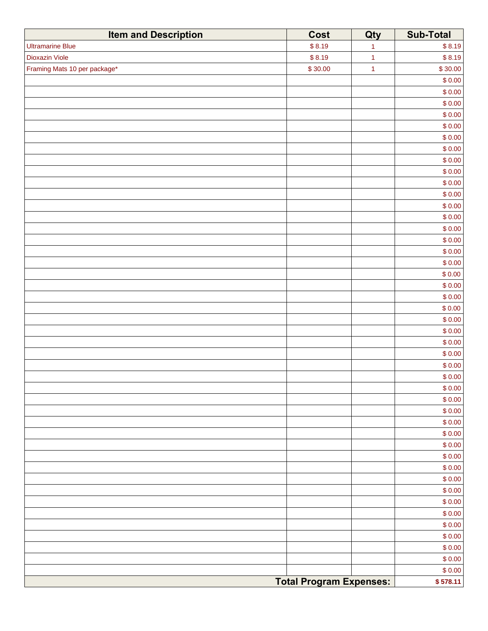| <b>Item and Description</b>  | Cost                           | Qty                  | <b>Sub-Total</b> |
|------------------------------|--------------------------------|----------------------|------------------|
| <b>Ultramarine Blue</b>      | \$8.19                         | $\ddot{\phantom{1}}$ | \$8.19           |
| <b>Dioxazin Viole</b>        | \$8.19                         | $\ddot{\phantom{1}}$ | \$8.19           |
| Framing Mats 10 per package* | \$30.00                        | $\overline{1}$       | \$30.00          |
|                              |                                |                      | \$0.00           |
|                              |                                |                      | \$0.00           |
|                              |                                |                      | \$0.00           |
|                              |                                |                      | \$0.00           |
|                              |                                |                      | \$0.00           |
|                              |                                |                      | \$0.00           |
|                              |                                |                      | \$0.00           |
|                              |                                |                      | \$0.00           |
|                              |                                |                      | \$0.00           |
|                              |                                |                      | \$0.00           |
|                              |                                |                      | \$0.00           |
|                              |                                |                      | \$0.00           |
|                              |                                |                      | \$0.00           |
|                              |                                |                      | \$0.00           |
|                              |                                |                      | \$0.00           |
|                              |                                |                      | \$0.00           |
|                              |                                |                      | \$0.00           |
|                              |                                |                      | \$0.00           |
|                              |                                |                      | \$0.00<br>\$0.00 |
|                              |                                |                      | \$0.00           |
|                              |                                |                      | \$0.00           |
|                              |                                |                      | \$0.00           |
|                              |                                |                      | \$0.00           |
|                              |                                |                      | \$0.00           |
|                              |                                |                      | \$0.00           |
|                              |                                |                      | \$0.00           |
|                              |                                |                      | \$0.00           |
|                              |                                |                      | \$0.00           |
|                              |                                |                      | \$0.00           |
|                              |                                |                      | \$0.00           |
|                              |                                |                      | \$0.00           |
|                              |                                |                      | \$0.00           |
|                              |                                |                      | \$0.00           |
|                              |                                |                      | \$0.00           |
|                              |                                |                      | \$0.00           |
|                              |                                |                      | \$0.00           |
|                              |                                |                      | \$0.00           |
|                              |                                |                      | \$0.00           |
|                              |                                |                      | \$0.00           |
|                              |                                |                      | \$0.00           |
|                              |                                |                      | \$0.00           |
|                              |                                |                      | \$0.00           |
|                              |                                |                      | \$0.00           |
|                              | <b>Total Program Expenses:</b> |                      | \$578.11         |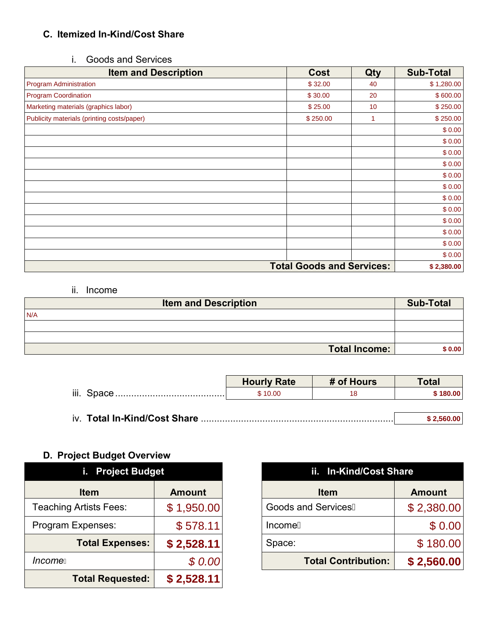# **C. Itemized In-Kind/Cost Share**

# i. Goods and Services

| <b>Item and Description</b>                | Cost                             | Qty | <b>Sub-Total</b> |
|--------------------------------------------|----------------------------------|-----|------------------|
| <b>Program Administration</b>              | \$32.00                          | 40  | \$1,280.00       |
| <b>Program Coordination</b>                | \$30.00                          | 20  | \$600.00         |
| Marketing materials (graphics labor)       | \$25.00                          | 10  | \$250.00         |
| Publicity materials (printing costs/paper) | \$250.00                         | 1   | \$250.00         |
|                                            |                                  |     | \$0.00           |
|                                            |                                  |     | \$0.00           |
|                                            |                                  |     | \$0.00           |
|                                            |                                  |     | \$0.00           |
|                                            |                                  |     | \$0.00           |
|                                            |                                  |     | \$0.00           |
|                                            |                                  |     | \$0.00           |
|                                            |                                  |     | \$0.00           |
|                                            |                                  |     | \$0.00           |
|                                            |                                  |     | \$0.00           |
|                                            |                                  |     | \$0.00           |
|                                            |                                  |     | \$0.00           |
|                                            | <b>Total Goods and Services:</b> |     | \$2,380.00       |

#### ii. Income

| <b>Item and Description</b> | <b>Sub-Total</b> |
|-----------------------------|------------------|
| N/A                         |                  |
|                             |                  |
|                             |                  |
| <b>Total Income:</b>        | \$0.00           |

|                              | <b>Hourly Rate</b> | # of Hours | <b>Total</b> |
|------------------------------|--------------------|------------|--------------|
|                              | \$10.00            | 18.        | \$180.00     |
|                              |                    |            |              |
| iv. Total In-Kind/Cost Share |                    |            | \$2.560.00   |

# **D. Project Budget Overview**

| i. Project Budget             |               |  |  |  |
|-------------------------------|---------------|--|--|--|
| <b>Item</b>                   | <b>Amount</b> |  |  |  |
| <b>Teaching Artists Fees:</b> | \$1,950.00    |  |  |  |
| Program Expenses:             | \$578.11      |  |  |  |
| <b>Total Expenses:</b>        | \$2,528.11    |  |  |  |
| <i>Incomek</i>                | \$0.00        |  |  |  |
| <b>Total Requested:</b>       | \$2,528.11    |  |  |  |

|               | ii. In-Kind/Cost Share     |               |  |
|---------------|----------------------------|---------------|--|
| <b>Amount</b> | <b>Item</b>                | <b>Amount</b> |  |
| \$1,950.00    | <b>Goods and ServicesK</b> | \$2,380.00    |  |
| \$578.11      | <b>IncomeK</b>             | \$0.00        |  |
| \$2,528.11    | Space:                     | \$180.00      |  |
| \$0.00        | <b>Total Contribution:</b> | \$2,560.00    |  |